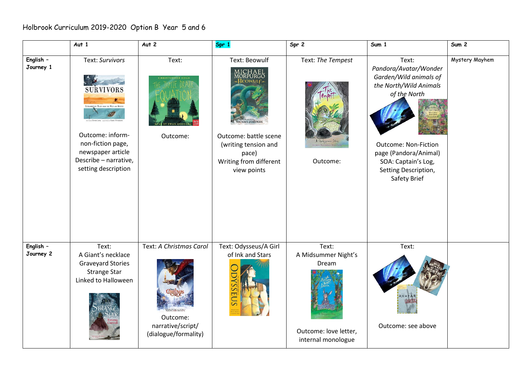|                        | Aut $1$                                                                                                                                                                                  | Aut 2                                                                            | Spr 1                                                                                                                                                                           | $Spr$ 2                                                                              | Sum 1                                                                                                                                                                                                                     | Sum 2          |
|------------------------|------------------------------------------------------------------------------------------------------------------------------------------------------------------------------------------|----------------------------------------------------------------------------------|---------------------------------------------------------------------------------------------------------------------------------------------------------------------------------|--------------------------------------------------------------------------------------|---------------------------------------------------------------------------------------------------------------------------------------------------------------------------------------------------------------------------|----------------|
| English -<br>Journey 1 | Text: Survivors<br><b>SURVIVORS</b><br>VANY TALES FROM THE WILD AND BEVONE<br>Outcome: inform-<br>non-fiction page,<br>newspaper article<br>Describe - narrative,<br>setting description | Text:<br>Outcome:                                                                | Text: Beowulf<br>ICHAEL<br>DRPURGO<br><b>S</b> EOWULF<br><b>HAEL FOREMA!</b><br>Outcome: battle scene<br>(writing tension and<br>pace)<br>Writing from different<br>view points | Text: The Tempest<br>A Shahogpeare Story<br>Outcome:                                 | Text:<br>Pandora/Avatar/Wonder<br>Garden/Wild animals of<br>the North/Wild Animals<br>of the North<br><b>Outcome: Non-Fiction</b><br>page (Pandora/Animal)<br>SOA: Captain's Log,<br>Setting Description,<br>Safety Brief | Mystery Mayhem |
| English -<br>Journey 2 | Text:<br>A Giant's necklace<br><b>Graveyard Stories</b><br><b>Strange Star</b><br>Linked to Halloween                                                                                    | Text: A Christmas Carol<br>Outcome:<br>narrative/script/<br>(dialogue/formality) | Text: Odysseus/A Girl<br>of Ink and Stars<br>SOFOS                                                                                                                              | Text:<br>A Midsummer Night's<br>Dream<br>Outcome: love letter,<br>internal monologue | Text:<br>AVATA<br>Outcome: see above                                                                                                                                                                                      |                |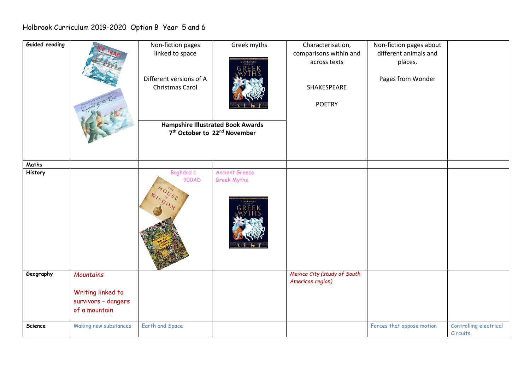## Holbrook Curriculum 2019-2020 Option B Year 5 and 6

| Guided reading |                       | Non-fiction pages                                    | Greek myths           | Characterisation,           | Non-fiction pages about   |                        |
|----------------|-----------------------|------------------------------------------------------|-----------------------|-----------------------------|---------------------------|------------------------|
|                |                       | linked to space                                      |                       | comparisons within and      | different animals and     |                        |
|                |                       |                                                      | <b>D'AULAIRES</b>     | across texts                | places.                   |                        |
|                |                       |                                                      |                       |                             |                           |                        |
|                |                       | Different versions of A                              |                       |                             | Pages from Wonder         |                        |
|                |                       | Christmas Carol                                      |                       | SHAKESPEARE                 |                           |                        |
|                |                       |                                                      |                       |                             |                           |                        |
|                |                       |                                                      |                       |                             |                           |                        |
|                |                       |                                                      |                       | <b>POETRY</b>               |                           |                        |
|                |                       |                                                      |                       |                             |                           |                        |
|                |                       | <b>Hampshire Illustrated Book Awards</b>             |                       |                             |                           |                        |
|                |                       | 7 <sup>th</sup> October to 22 <sup>nd</sup> November |                       |                             |                           |                        |
|                |                       |                                                      |                       |                             |                           |                        |
|                |                       |                                                      |                       |                             |                           |                        |
|                |                       |                                                      |                       |                             |                           |                        |
| Maths          |                       |                                                      |                       |                             |                           |                        |
| History        |                       | Baghdad c                                            | <b>Ancient Greece</b> |                             |                           |                        |
|                |                       | 900AD                                                | Greek Myths           |                             |                           |                        |
|                |                       |                                                      |                       |                             |                           |                        |
|                |                       |                                                      |                       |                             |                           |                        |
|                |                       |                                                      |                       |                             |                           |                        |
|                |                       |                                                      |                       |                             |                           |                        |
|                |                       |                                                      |                       |                             |                           |                        |
|                |                       |                                                      |                       |                             |                           |                        |
|                |                       |                                                      |                       |                             |                           |                        |
|                |                       |                                                      |                       |                             |                           |                        |
|                |                       |                                                      |                       |                             |                           |                        |
|                |                       |                                                      |                       |                             |                           |                        |
|                |                       |                                                      |                       |                             |                           |                        |
| Geography      | <b>Mountains</b>      |                                                      |                       | Mexico City (study of South |                           |                        |
|                |                       |                                                      |                       | American region)            |                           |                        |
|                | Writing linked to     |                                                      |                       |                             |                           |                        |
|                | survivors - dangers   |                                                      |                       |                             |                           |                        |
|                | of a mountain         |                                                      |                       |                             |                           |                        |
|                |                       |                                                      |                       |                             |                           |                        |
| Science        | Making new substances | Earth and Space                                      |                       |                             | Forces that oppose motion | Controlling electrical |
|                |                       |                                                      |                       |                             |                           | Circuits               |